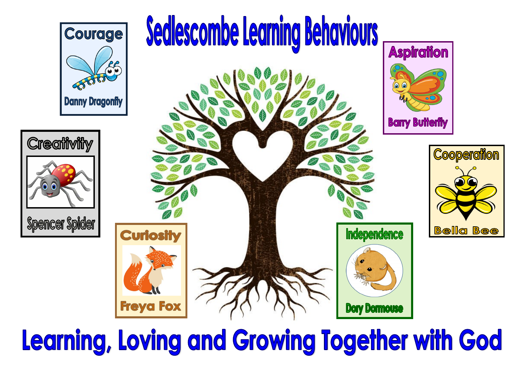







![](_page_0_Picture_4.jpeg)

Learning, Loving and Growing Together with God